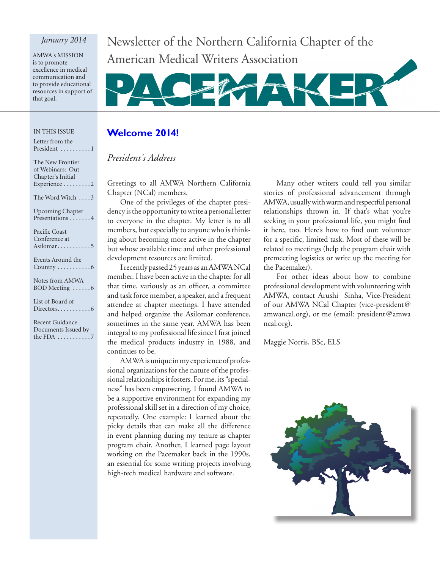#### *January 2014*

AMWA's MISSION is to promote excellence in medical communication and to provide educational resources in support of that goal.

#### IN THIS ISSUE

| Letter from the                |
|--------------------------------|
| President 1                    |
| The New Frontier               |
| of Webinars: Out               |
| Chapter's Initial              |
| Experience 2                   |
| The Word Witch 3               |
| <b>Upcoming Chapter</b>        |
| Presentations 4                |
| Pacific Coast                  |
| Conference at                  |
| Asilomar5                      |
| Events Around the              |
| Country $\dots\dots\dots\dots$ |
| Notes from AMWA                |
| BOD Meeting 6                  |
| List of Board of               |
|                                |
| <b>Recent Guidance</b>         |
| Documents Issued by            |
| the FDA $\dots \dots \dots$ .7 |
|                                |

Newsletter of the Northern California Chapter of the American Medical Writers Association



#### **Welcome 2014!**

## *President's Address*

Greetings to all AMWA Northern California Chapter (NCal) members.

One of the privileges of the chapter presidency is the opportunity to write a personal letter to everyone in the chapter. My letter is to all members, but especially to anyone who is thinking about becoming more active in the chapter but whose available time and other professional development resources are limited.

I recently passed 25 years as an AMWA NCal member. I have been active in the chapter for all that time, variously as an officer, a committee and task force member, a speaker, and a frequent attendee at chapter meetings. I have attended and helped organize the Asilomar conference, sometimes in the same year. AMWA has been integral to my professional life since I first joined the medical products industry in 1988, and continues to be.

AMWA is unique in my experience of professional organizations for the nature of the professional relationships it fosters. For me, its "specialness" has been empowering. I found AMWA to be a supportive environment for expanding my professional skill set in a direction of my choice, repeatedly. One example: I learned about the picky details that can make all the difference in event planning during my tenure as chapter program chair. Another, I learned page layout working on the Pacemaker back in the 1990s, an essential for some writing projects involving high-tech medical hardware and software.

Many other writers could tell you similar stories of professional advancement through AMWA, usually with warm and respectful personal relationships thrown in. If that's what you're seeking in your professional life, you might find it here, too. Here's how to find out: volunteer for a specific, limited task. Most of these will be related to meetings (help the program chair with premeeting logistics or write up the meeting for the Pacemaker).

For other ideas about how to combine professional development with volunteering with AMWA, contact Arushi Sinha, Vice-President of our AMWA NCal Chapter (vice-president@ amwancal.org), or me (email: president@amwa ncal.org).

Maggie Norris, BSc, ELS

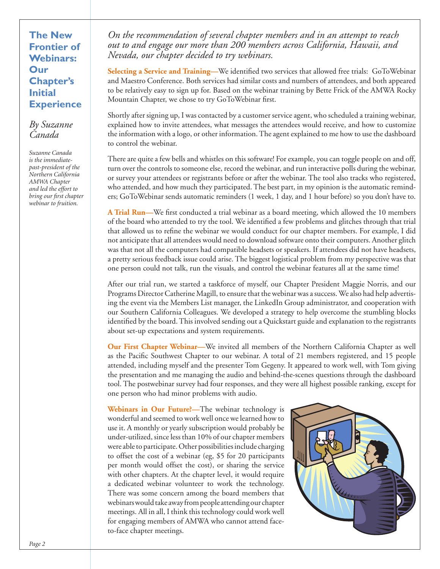**The New Frontier of Webinars: Our Chapter's Initial Experience**

### *By Suzanne Canada*

*Suzanne Canada is the immediatepast-president of the Northern California AMWA Chapter and led the effort to bring our first chapter webinar to fruition.*

*On the recommendation of several chapter members and in an attempt to reach out to and engage our more than 200 members across California, Hawaii, and Nevada, our chapter decided to try webinars.*

**Selecting a Service and Training—**We identified two services that allowed free trials: GoToWebinar and Maestro Conference. Both services had similar costs and numbers of attendees, and both appeared to be relatively easy to sign up for. Based on the webinar training by Bette Frick of the AMWA Rocky Mountain Chapter, we chose to try GoToWebinar first.

Shortly after signing up, I was contacted by a customer service agent, who scheduled a training webinar, explained how to invite attendees, what messages the attendees would receive, and how to customize the information with a logo, or other information. The agent explained to me how to use the dashboard to control the webinar.

There are quite a few bells and whistles on this software! For example, you can toggle people on and off, turn over the controls to someone else, record the webinar, and run interactive polls during the webinar, or survey your attendees or registrants before or after the webinar. The tool also tracks who registered, who attended, and how much they participated. The best part, in my opinion is the automatic reminders; GoToWebinar sends automatic reminders (1 week, 1 day, and 1 hour before) so you don't have to.

**A Trial Run—**We first conducted a trial webinar as a board meeting, which allowed the 10 members of the board who attended to try the tool. We identified a few problems and glitches through that trial that allowed us to refine the webinar we would conduct for our chapter members. For example, I did not anticipate that all attendees would need to download software onto their computers. Another glitch was that not all the computers had compatible headsets or speakers. If attendees did not have headsets, a pretty serious feedback issue could arise. The biggest logistical problem from my perspective was that one person could not talk, run the visuals, and control the webinar features all at the same time!

After our trial run, we started a taskforce of myself, our Chapter President Maggie Norris, and our Programs Director Catherine Magill, to ensure that the webinar was a success. We also had help advertising the event via the Members List manager, the LinkedIn Group administrator, and cooperation with our Southern California Colleagues. We developed a strategy to help overcome the stumbling blocks identified by the board. This involved sending out a Quickstart guide and explanation to the registrants about set-up expectations and system requirements.

**Our First Chapter Webinar—**We invited all members of the Northern California Chapter as well as the Pacific Southwest Chapter to our webinar. A total of 21 members registered, and 15 people attended, including myself and the presenter Tom Gegeny. It appeared to work well, with Tom giving the presentation and me managing the audio and behind-the-scenes questions through the dashboard tool. The postwebinar survey had four responses, and they were all highest possible ranking, except for one person who had minor problems with audio.

**Webinars in Our Future?—**The webinar technology is wonderful and seemed to work well once we learned how to use it. A monthly or yearly subscription would probably be under-utilized, since less than 10% of our chapter members were able to participate. Other possibilities include charging to offset the cost of a webinar (eg, \$5 for 20 participants per month would offset the cost), or sharing the service with other chapters. At the chapter level, it would require a dedicated webinar volunteer to work the technology. There was some concern among the board members that webinars would take away from people attending our chapter meetings. All in all, I think this technology could work well for engaging members of AMWA who cannot attend faceto-face chapter meetings.

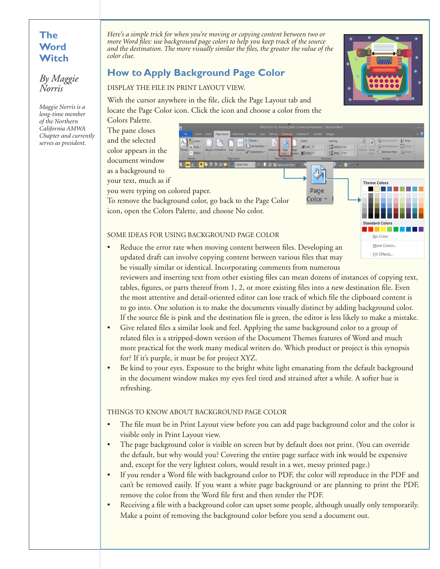## **The Word Witch**

*By Maggie Norris*

*Maggie Norris is a long-time member of the Northern California AMWA Chapter and currently serves as president.*

*Here's a simple trick for when you're moving or copying content between two or more Word files: use background page colors to help you keep track of the source and the destination. The more visually similar the files, the greater the value of the color clue.*

# **How to Apply Background Page Color**

DISPLAY THE FILE IN PRINT LAYOUT VIEW.

With the cursor anywhere in the file, click the Page Layout tab and locate the Page Color icon. Click the icon and choose a color from the

Colors Palette. The pane closes and the selected color appears in the document window

> as a background to your text, much as if



To remove the background color, go back to the Page Color icon, open the Colors Palette, and choose No color.

#### SOME IDEAS FOR USING BACKGROUND PAGE COLOR

- More Colors. Reduce the error rate when moving content between files. Developing an **Fill Effects...** updated draft can involve copying content between various files that may be visually similar or identical. Incorporating comments from numerous reviewers and inserting text from other existing files can mean dozens of instances of copying text, tables, figures, or parts thereof from 1, 2, or more existing files into a new destination file. Even the most attentive and detail-oriented editor can lose track of which file the clipboard content is to go into. One solution is to make the documents visually distinct by adding background color. If the source file is pink and the destination file is green, the editor is less likely to make a mistake.
- • Give related files a similar look and feel. Applying the same background color to a group of related files is a stripped-down version of the Document Themes features of Word and much more practical for the work many medical writers do. Which product or project is this synopsis for? If it's purple, it must be for project XYZ.
- Be kind to your eyes. Exposure to the bright white light emanating from the default background in the document window makes my eyes feel tired and strained after a while. A softer hue is refreshing.

#### THINGS TO KNOW ABOUT BACKGROUND PAGE COLOR

- The file must be in Print Layout view before you can add page background color and the color is visible only in Print Layout view.
- The page background color is visible on screen but by default does not print. (You can override the default, but why would you? Covering the entire page surface with ink would be expensive and, except for the very lightest colors, would result in a wet, messy printed page.)
- If you render a Word file with background color to PDF, the color will reproduce in the PDF and can't be removed easily. If you want a white page background or are planning to print the PDF, remove the color from the Word file first and then render the PDF.
- • Receiving a file with a background color can upset some people, although usually only temporarily. Make a point of removing the background color before you send a document out.



**Standard Colors** No Color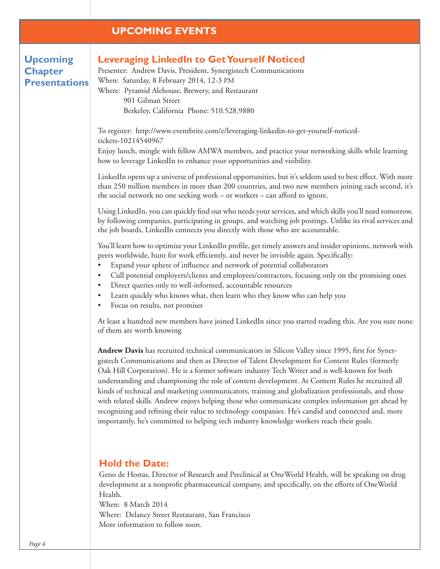### **UPCOMING EVENTS**

# **Upcoming Chapter Presentations**

### **Leveraging LinkedIn to Get Yourself Noticed**

Presenter: Andrew Davis, President, Synergistech Communications When: Saturday, 8 February 2014, 12-3 PM Where: Pyramid Alehouse, Brewery, and Restaurant 901 Gilman Street Berkeley, California Phone: 510.528.9880

To register: http://www.eventbrite.com/e/leveraging-linkedin-to-get-yourself-noticedtickets-10214540967

Enjoy lunch, mingle with fellow AMWA members, and practice your networking skills while learning how to leverage LinkedIn to enhance your opportunities and visibility.

LinkedIn opens up a universe of professional opportunities, but it's seldom used to best effect. With more than 250 million members in more than 200 countries, and two new members joining each second, it's the social network no one seeking work – or workers – can afford to ignore.

Using LinkedIn, you can quickly find out who needs your services, and which skills you'll need tomorrow, by following companies, participating in groups, and watching job postings. Unlike its rival services and the job boards, LinkedIn connects you directly with those who are accountable.

You'll learn how to optimize your LinkedIn profile, get timely answers and insider opinions, network with peers worldwide, hunt for work efficiently, and never be invisible again. Specifically:

- Expand your sphere of influence and network of potential collaborators
- Cull potential employers/clients and employees/contractors, focusing only on the promising ones
- Direct queries only to well-informed, accountable resources
- Learn quickly who knows what, then learn who they know who can help you
- Focus on results, not promises

At least a hundred new members have joined LinkedIn since you started reading this. Are you sure none of them are worth knowing

**Andrew Davis** has recruited technical communicators in Silicon Valley since 1995, first for Synergistech Communications and then as Director of Talent Development for Content Rules (formerly Oak Hill Corporation). He is a former software industry Tech Writer and is well-known for both understanding and championing the role of content development. At Content Rules he recruited all kinds of technical and marketing communicators, training and globalization professionals, and those with related skills. Andrew enjoys helping those who communicate complex information get ahead by recognizing and refining their value to technology companies. He's candid and connected and, more importantly, he's committed to helping tech industry knowledge workers reach their goals.

#### **Hold the Date:**

Geno de Hostas, Director of Research and Preclinical at OneWorld Health, will be speaking on drug development at a nonprofit pharmaceutical company, and specifically, on the efforts of OneWorld Health.

When: 8 March 2014

Where: Delancy Street Restaurant, San Francisco More information to follow soon.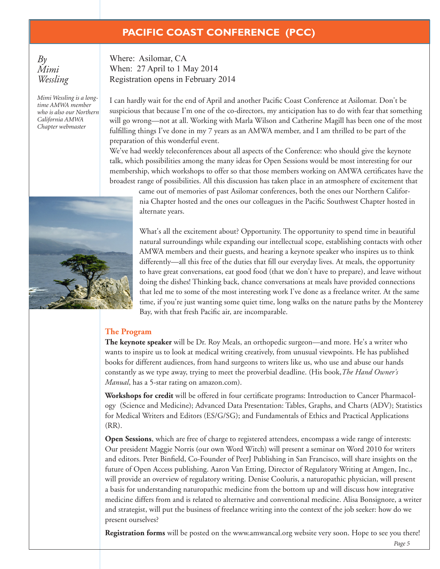# **PACIFIC COAST CONFERENCE (PCC)**

 $B_{\nu}$ *Mimi Wessling*

*Mimi Wessling is a longtime AMWA member who is also our Northern California AMWA Chapter webmaster*

Where: Asilomar, CA When: 27 April to 1 May 2014 Registration opens in February 2014

I can hardly wait for the end of April and another Pacific Coast Conference at Asilomar. Don't be suspicious that because I'm one of the co-directors, my anticipation has to do with fear that something will go wrong—not at all. Working with Marla Wilson and Catherine Magill has been one of the most fulfilling things I've done in my 7 years as an AMWA member, and I am thrilled to be part of the preparation of this wonderful event.

We've had weekly teleconferences about all aspects of the Conference: who should give the keynote talk, which possibilities among the many ideas for Open Sessions would be most interesting for our membership, which workshops to offer so that those members working on AMWA certificates have the broadest range of possibilities. All this discussion has taken place in an atmosphere of excitement that

came out of memories of past Asilomar conferences, both the ones our Northern California Chapter hosted and the ones our colleagues in the Pacific Southwest Chapter hosted in alternate years.

What's all the excitement about? Opportunity. The opportunity to spend time in beautiful natural surroundings while expanding our intellectual scope, establishing contacts with other AMWA members and their guests, and hearing a keynote speaker who inspires us to think differently—all this free of the duties that fill our everyday lives. At meals, the opportunity to have great conversations, eat good food (that we don't have to prepare), and leave without doing the dishes! Thinking back, chance conversations at meals have provided connections that led me to some of the most interesting work I've done as a freelance writer. At the same time, if you're just wanting some quiet time, long walks on the nature paths by the Monterey Bay, with that fresh Pacific air, are incomparable.

#### **The Program**

**The keynote speaker** will be Dr. Roy Meals, an orthopedic surgeon—and more. He's a writer who wants to inspire us to look at medical writing creatively, from unusual viewpoints. He has published books for different audiences, from hand surgeons to writers like us, who use and abuse our hands constantly as we type away, trying to meet the proverbial deadline. (His book,*The Hand Owner's Manual*, has a 5-star rating on amazon.com).

**Workshops for credit** will be offered in four certificate programs: Introduction to Cancer Pharmacology (Science and Medicine); Advanced Data Presentation: Tables, Graphs, and Charts (ADV); Statistics for Medical Writers and Editors (ES/G/SG); and Fundamentals of Ethics and Practical Applications (RR).

**Open Sessions**, which are free of charge to registered attendees, encompass a wide range of interests: Our president Maggie Norris (our own Word Witch) will present a seminar on Word 2010 for writers and editors. Peter Binfield, Co-Founder of PeerJ Publishing in San Francisco, will share insights on the future of Open Access publishing. Aaron Van Etting, Director of Regulatory Writing at Amgen, Inc., will provide an overview of regulatory writing. Denise Cooluris, a naturopathic physician, will present a basis for understanding naturopathic medicine from the bottom up and will discuss how integrative medicine differs from and is related to alternative and conventional medicine. Alisa Bonsignore, a writer and strategist, will put the business of freelance writing into the context of the job seeker: how do we present ourselves?

**Registration forms** will be posted on the www.amwancal.org website very soon. Hope to see you there!

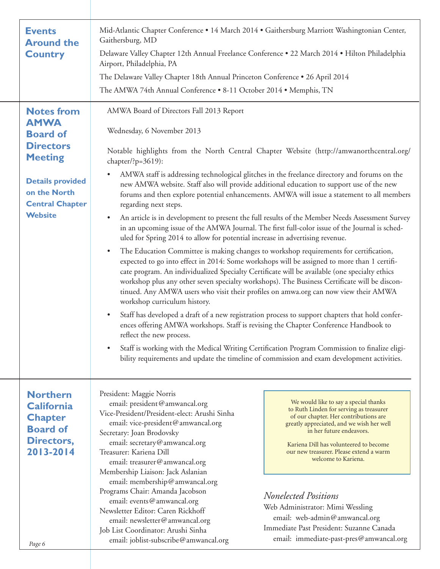| <b>Events</b><br><b>Around the</b><br><b>Country</b>                                                                                 | Mid-Atlantic Chapter Conference • 14 March 2014 • Gaithersburg Marriott Washingtonian Center,<br>Gaithersburg, MD<br>Delaware Valley Chapter 12th Annual Freelance Conference . 22 March 2014 . Hilton Philadelphia<br>Airport, Philadelphia, PA                                                               |                                                                                                                                                                                                                                                                                                                                                                                                                                                                                                                                                                                                                                                                        |  |  |  |
|--------------------------------------------------------------------------------------------------------------------------------------|----------------------------------------------------------------------------------------------------------------------------------------------------------------------------------------------------------------------------------------------------------------------------------------------------------------|------------------------------------------------------------------------------------------------------------------------------------------------------------------------------------------------------------------------------------------------------------------------------------------------------------------------------------------------------------------------------------------------------------------------------------------------------------------------------------------------------------------------------------------------------------------------------------------------------------------------------------------------------------------------|--|--|--|
|                                                                                                                                      | The Delaware Valley Chapter 18th Annual Princeton Conference . 26 April 2014                                                                                                                                                                                                                                   |                                                                                                                                                                                                                                                                                                                                                                                                                                                                                                                                                                                                                                                                        |  |  |  |
|                                                                                                                                      | The AMWA 74th Annual Conference . 8-11 October 2014 . Memphis, TN                                                                                                                                                                                                                                              |                                                                                                                                                                                                                                                                                                                                                                                                                                                                                                                                                                                                                                                                        |  |  |  |
|                                                                                                                                      |                                                                                                                                                                                                                                                                                                                |                                                                                                                                                                                                                                                                                                                                                                                                                                                                                                                                                                                                                                                                        |  |  |  |
| <b>Notes from</b><br><b>AMWA</b><br><b>Board of</b><br><b>Directors</b><br><b>Meeting</b><br><b>Details provided</b><br>on the North | AMWA Board of Directors Fall 2013 Report<br>Wednesday, 6 November 2013<br>chapter/?p=3619):<br>$\bullet$<br>new AMWA website. Staff also will provide additional education to support use of the new                                                                                                           | Notable highlights from the North Central Chapter Website (http://amwanorthcentral.org/<br>AMWA staff is addressing technological glitches in the freelance directory and forums on the                                                                                                                                                                                                                                                                                                                                                                                                                                                                                |  |  |  |
| <b>Central Chapter</b>                                                                                                               | forums and then explore potential enhancements. AMWA will issue a statement to all members<br>regarding next steps.                                                                                                                                                                                            |                                                                                                                                                                                                                                                                                                                                                                                                                                                                                                                                                                                                                                                                        |  |  |  |
| <b>Website</b>                                                                                                                       | An article is in development to present the full results of the Member Needs Assessment Survey<br>$\bullet$<br>in an upcoming issue of the AMWA Journal. The first full-color issue of the Journal is sched-<br>uled for Spring 2014 to allow for potential increase in advertising revenue.                   |                                                                                                                                                                                                                                                                                                                                                                                                                                                                                                                                                                                                                                                                        |  |  |  |
|                                                                                                                                      | $\bullet$<br>workshop curriculum history.<br>$\bullet$                                                                                                                                                                                                                                                         | The Education Committee is making changes to workshop requirements for certification,<br>expected to go into effect in 2014: Some workshops will be assigned to more than 1 certifi-<br>cate program. An individualized Specialty Certificate will be available (one specialty ethics<br>workshop plus any other seven specialty workshops). The Business Certificate will be discon-<br>tinued. Any AMWA users who visit their profiles on amwa.org can now view their AMWA<br>Staff has developed a draft of a new registration process to support chapters that hold confer-<br>ences offering AMWA workshops. Staff is revising the Chapter Conference Handbook to |  |  |  |
|                                                                                                                                      | reflect the new process.                                                                                                                                                                                                                                                                                       |                                                                                                                                                                                                                                                                                                                                                                                                                                                                                                                                                                                                                                                                        |  |  |  |
|                                                                                                                                      | $\bullet$                                                                                                                                                                                                                                                                                                      | Staff is working with the Medical Writing Certification Program Commission to finalize eligi-<br>bility requirements and update the timeline of commission and exam development activities.                                                                                                                                                                                                                                                                                                                                                                                                                                                                            |  |  |  |
| <b>Northern</b><br><b>California</b><br><b>Chapter</b><br><b>Board of</b><br><b>Directors,</b><br>2013-2014                          | President: Maggie Norris<br>email: president@amwancal.org<br>Vice-President/President-elect: Arushi Sinha<br>email: vice-president@amwancal.org<br>Secretary: Joan Brodovsky<br>email: secretary@amwancal.org<br>Treasurer: Kariena Dill<br>email: treasurer@amwancal.org<br>Membership Liaison: Jack Aslanian | We would like to say a special thanks<br>to Ruth Linden for serving as treasurer<br>of our chapter. Her contributions are<br>greatly appreciated, and we wish her well<br>in her future endeavors.<br>Kariena Dill has volunteered to become<br>our new treasurer. Please extend a warm<br>welcome to Kariena.                                                                                                                                                                                                                                                                                                                                                         |  |  |  |
| Page 6                                                                                                                               | email: membership@amwancal.org<br>Programs Chair: Amanda Jacobson<br>email: events@amwancal.org<br>Newsletter Editor: Caren Rickhoff<br>email: newsletter@amwancal.org<br>Job List Coordinator: Arushi Sinha<br>email: joblist-subscribe@amwancal.org                                                          | <b>Nonelected Positions</b><br>Web Administrator: Mimi Wessling<br>email: web-admin@amwancal.org<br>Immediate Past President: Suzanne Canada<br>email: immediate-past-pres@amwancal.org                                                                                                                                                                                                                                                                                                                                                                                                                                                                                |  |  |  |